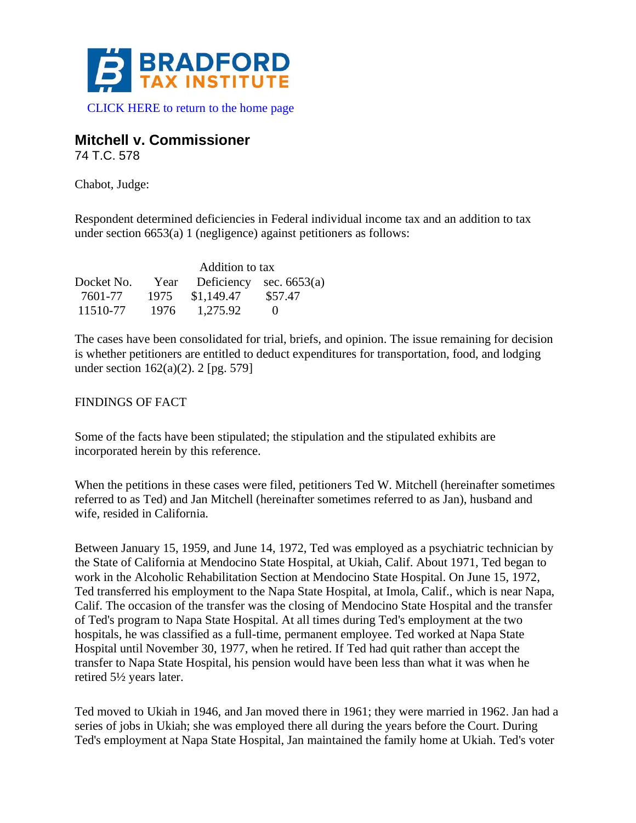

# **Mitchell v. Commissioner**

74 T.C. 578

Chabot, Judge:

Respondent determined deficiencies in Federal individual income tax and an addition to tax under section 6653(a) 1 (negligence) against petitioners as follows:

|            | Addition to tax |            |                           |
|------------|-----------------|------------|---------------------------|
| Docket No. | Year            |            | Deficiency sec. $6653(a)$ |
| 7601-77    | 1975            | \$1,149.47 | \$57.47                   |
| 11510-77   | 1976            | 1,275.92   | $\mathbf{U}$              |

The cases have been consolidated for trial, briefs, and opinion. The issue remaining for decision is whether petitioners are entitled to deduct expenditures for transportation, food, and lodging under section 162(a)(2). 2 [pg. 579]

#### FINDINGS OF FACT

Some of the facts have been stipulated; the stipulation and the stipulated exhibits are incorporated herein by this reference.

When the petitions in these cases were filed, petitioners Ted W. Mitchell (hereinafter sometimes referred to as Ted) and Jan Mitchell (hereinafter sometimes referred to as Jan), husband and wife, resided in California.

Between January 15, 1959, and June 14, 1972, Ted was employed as a psychiatric technician by the State of California at Mendocino State Hospital, at Ukiah, Calif. About 1971, Ted began to work in the Alcoholic Rehabilitation Section at Mendocino State Hospital. On June 15, 1972, Ted transferred his employment to the Napa State Hospital, at Imola, Calif., which is near Napa, Calif. The occasion of the transfer was the closing of Mendocino State Hospital and the transfer of Ted's program to Napa State Hospital. At all times during Ted's employment at the two hospitals, he was classified as a full-time, permanent employee. Ted worked at Napa State Hospital until November 30, 1977, when he retired. If Ted had quit rather than accept the transfer to Napa State Hospital, his pension would have been less than what it was when he retired 5½ years later.

Ted moved to Ukiah in 1946, and Jan moved there in 1961; they were married in 1962. Jan had a series of jobs in Ukiah; she was employed there all during the years before the Court. During Ted's employment at Napa State Hospital, Jan maintained the family home at Ukiah. Ted's voter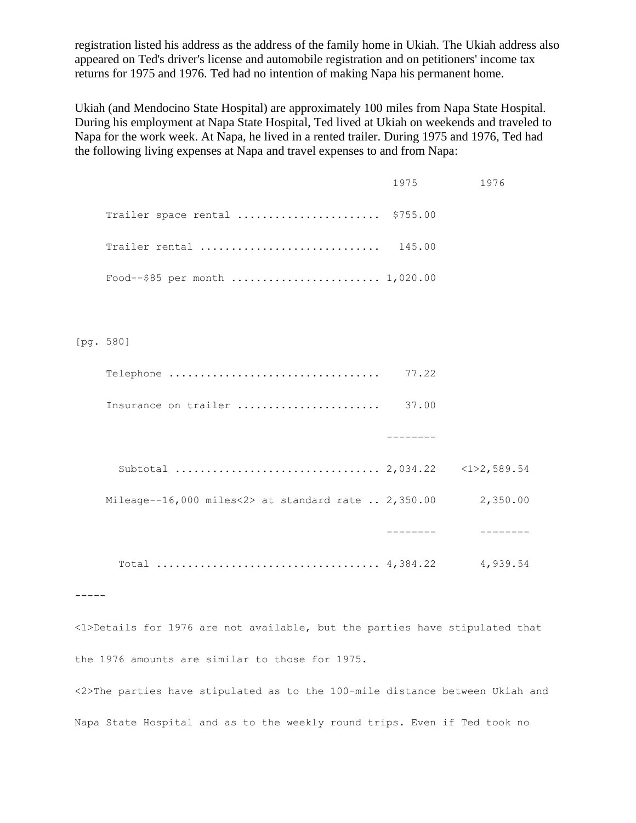registration listed his address as the address of the family home in Ukiah. The Ukiah address also appeared on Ted's driver's license and automobile registration and on petitioners' income tax returns for 1975 and 1976. Ted had no intention of making Napa his permanent home.

Ukiah (and Mendocino State Hospital) are approximately 100 miles from Napa State Hospital. During his employment at Napa State Hospital, Ted lived at Ukiah on weekends and traveled to Napa for the work week. At Napa, he lived in a rented trailer. During 1975 and 1976, Ted had the following living expenses at Napa and travel expenses to and from Napa:

|                                                      | 1975 | 1976     |
|------------------------------------------------------|------|----------|
| Trailer space rental  \$755.00                       |      |          |
| Trailer rental  145.00                               |      |          |
| Food--\$85 per month  1,020.00                       |      |          |
|                                                      |      |          |
| [pg. 580]                                            |      |          |
|                                                      |      |          |
| Insurance on trailer  37.00                          |      |          |
|                                                      |      |          |
|                                                      |      |          |
| Mileage--16,000 miles<2> at standard rate $2,350.00$ |      | 2,350.00 |
|                                                      |      |          |
|                                                      |      |          |
|                                                      |      |          |
| $\{1\}$                                              |      |          |

<1>Details for 1976 are not available, but the parties have stipulated that the 1976 amounts are similar to those for 1975.

<2>The parties have stipulated as to the 100-mile distance between Ukiah and Napa State Hospital and as to the weekly round trips. Even if Ted took no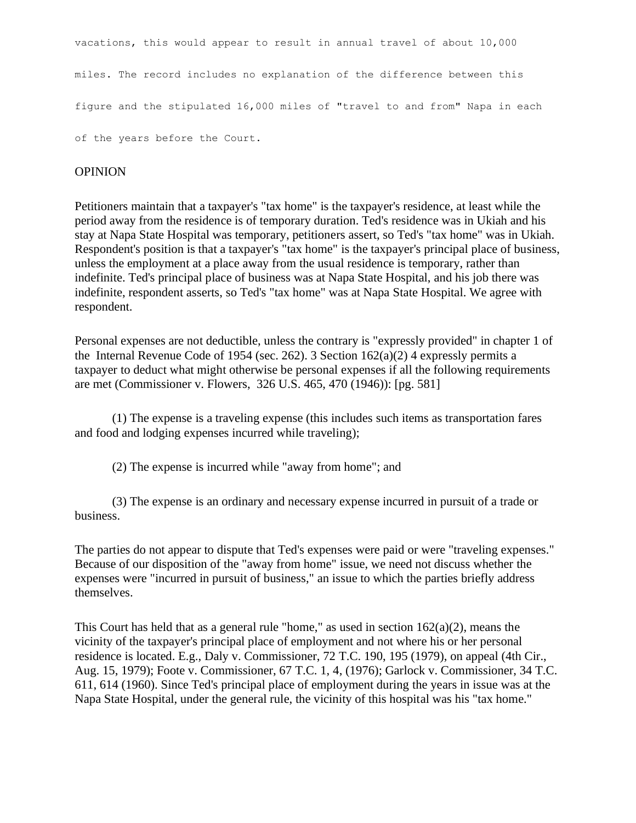vacations, this would appear to result in annual travel of about 10,000 miles. The record includes no explanation of the difference between this figure and the stipulated 16,000 miles of "travel to and from" Napa in each of the years before the Court.

#### **OPINION**

Petitioners maintain that a taxpayer's "tax home" is the taxpayer's residence, at least while the period away from the residence is of temporary duration. Ted's residence was in Ukiah and his stay at Napa State Hospital was temporary, petitioners assert, so Ted's "tax home" was in Ukiah. Respondent's position is that a taxpayer's "tax home" is the taxpayer's principal place of business, unless the employment at a place away from the usual residence is temporary, rather than indefinite. Ted's principal place of business was at Napa State Hospital, and his job there was indefinite, respondent asserts, so Ted's "tax home" was at Napa State Hospital. We agree with respondent.

Personal expenses are not deductible, unless the contrary is "expressly provided" in chapter 1 of the Internal Revenue Code of 1954 (sec. 262). 3 Section  $162(a)(2)$  4 expressly permits a taxpayer to deduct what might otherwise be personal expenses if all the following requirements are met (Commissioner v. Flowers, 326 U.S. 465, 470 (1946)): [pg. 581]

(1) The expense is a traveling expense (this includes such items as transportation fares and food and lodging expenses incurred while traveling);

(2) The expense is incurred while "away from home"; and

(3) The expense is an ordinary and necessary expense incurred in pursuit of a trade or business.

The parties do not appear to dispute that Ted's expenses were paid or were "traveling expenses." Because of our disposition of the "away from home" issue, we need not discuss whether the expenses were "incurred in pursuit of business," an issue to which the parties briefly address themselves.

This Court has held that as a general rule "home," as used in section  $162(a)(2)$ , means the vicinity of the taxpayer's principal place of employment and not where his or her personal residence is located. E.g., Daly v. Commissioner, 72 T.C. 190, 195 (1979), on appeal (4th Cir., Aug. 15, 1979); Foote v. Commissioner, 67 T.C. 1, 4, (1976); Garlock v. Commissioner, 34 T.C. 611, 614 (1960). Since Ted's principal place of employment during the years in issue was at the Napa State Hospital, under the general rule, the vicinity of this hospital was his "tax home."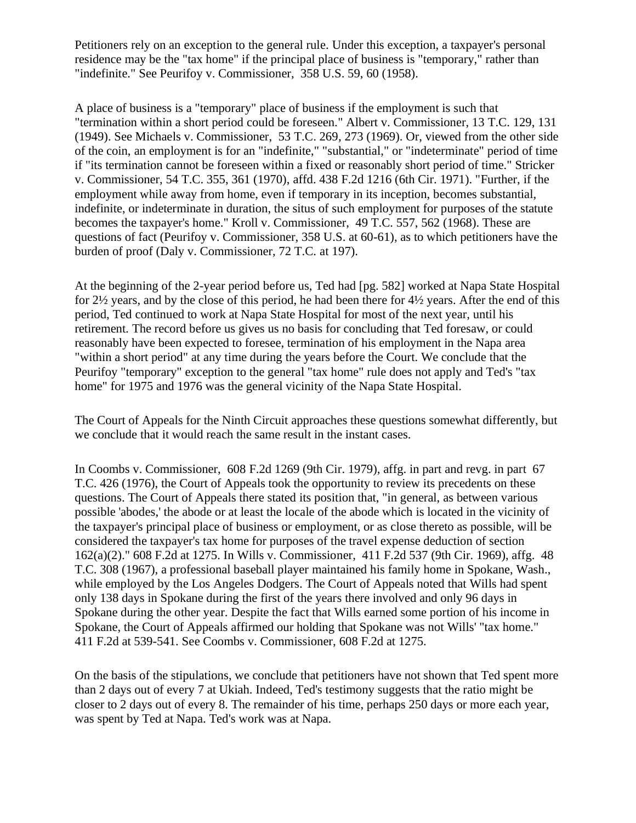Petitioners rely on an exception to the general rule. Under this exception, a taxpayer's personal residence may be the "tax home" if the principal place of business is "temporary," rather than "indefinite." See Peurifoy v. Commissioner, 358 U.S. 59, 60 (1958).

A place of business is a "temporary" place of business if the employment is such that "termination within a short period could be foreseen." Albert v. Commissioner, 13 T.C. 129, 131 (1949). See Michaels v. Commissioner, 53 T.C. 269, 273 (1969). Or, viewed from the other side of the coin, an employment is for an "indefinite," "substantial," or "indeterminate" period of time if "its termination cannot be foreseen within a fixed or reasonably short period of time." Stricker v. Commissioner, 54 T.C. 355, 361 (1970), affd. 438 F.2d 1216 (6th Cir. 1971). "Further, if the employment while away from home, even if temporary in its inception, becomes substantial, indefinite, or indeterminate in duration, the situs of such employment for purposes of the statute becomes the taxpayer's home." Kroll v. Commissioner, 49 T.C. 557, 562 (1968). These are questions of fact (Peurifoy v. Commissioner, 358 U.S. at 60-61), as to which petitioners have the burden of proof (Daly v. Commissioner, 72 T.C. at 197).

At the beginning of the 2-year period before us, Ted had [pg. 582] worked at Napa State Hospital for 2½ years, and by the close of this period, he had been there for 4½ years. After the end of this period, Ted continued to work at Napa State Hospital for most of the next year, until his retirement. The record before us gives us no basis for concluding that Ted foresaw, or could reasonably have been expected to foresee, termination of his employment in the Napa area "within a short period" at any time during the years before the Court. We conclude that the Peurifoy "temporary" exception to the general "tax home" rule does not apply and Ted's "tax home" for 1975 and 1976 was the general vicinity of the Napa State Hospital.

The Court of Appeals for the Ninth Circuit approaches these questions somewhat differently, but we conclude that it would reach the same result in the instant cases.

In Coombs v. Commissioner, 608 F.2d 1269 (9th Cir. 1979), affg. in part and revg. in part 67 T.C. 426 (1976), the Court of Appeals took the opportunity to review its precedents on these questions. The Court of Appeals there stated its position that, "in general, as between various possible 'abodes,' the abode or at least the locale of the abode which is located in the vicinity of the taxpayer's principal place of business or employment, or as close thereto as possible, will be considered the taxpayer's tax home for purposes of the travel expense deduction of section 162(a)(2)." 608 F.2d at 1275. In Wills v. Commissioner, 411 F.2d 537 (9th Cir. 1969), affg. 48 T.C. 308 (1967), a professional baseball player maintained his family home in Spokane, Wash., while employed by the Los Angeles Dodgers. The Court of Appeals noted that Wills had spent only 138 days in Spokane during the first of the years there involved and only 96 days in Spokane during the other year. Despite the fact that Wills earned some portion of his income in Spokane, the Court of Appeals affirmed our holding that Spokane was not Wills' "tax home." 411 F.2d at 539-541. See Coombs v. Commissioner, 608 F.2d at 1275.

On the basis of the stipulations, we conclude that petitioners have not shown that Ted spent more than 2 days out of every 7 at Ukiah. Indeed, Ted's testimony suggests that the ratio might be closer to 2 days out of every 8. The remainder of his time, perhaps 250 days or more each year, was spent by Ted at Napa. Ted's work was at Napa.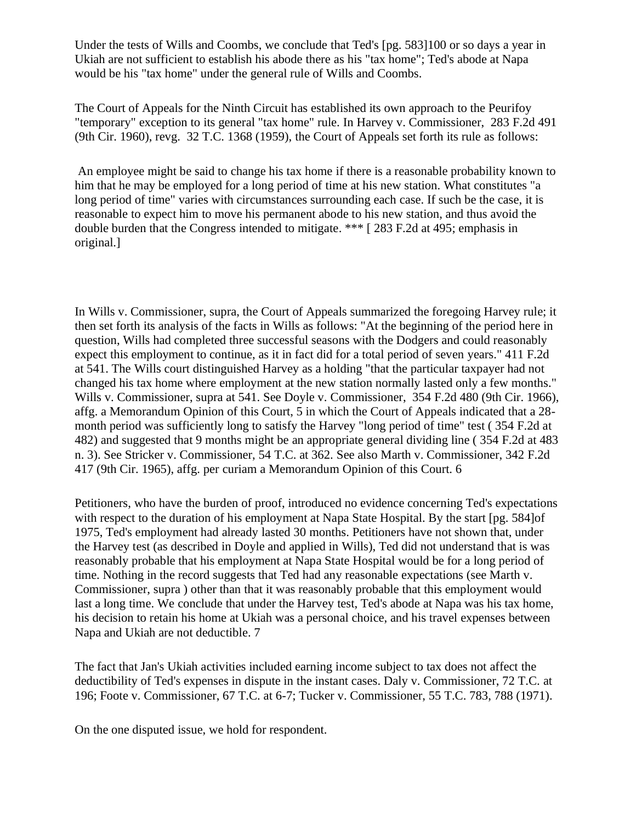Under the tests of Wills and Coombs, we conclude that Ted's [pg. 583]100 or so days a year in Ukiah are not sufficient to establish his abode there as his "tax home"; Ted's abode at Napa would be his "tax home" under the general rule of Wills and Coombs.

The Court of Appeals for the Ninth Circuit has established its own approach to the Peurifoy "temporary" exception to its general "tax home" rule. In Harvey v. Commissioner, 283 F.2d 491 (9th Cir. 1960), revg. 32 T.C. 1368 (1959), the Court of Appeals set forth its rule as follows:

An employee might be said to change his tax home if there is a reasonable probability known to him that he may be employed for a long period of time at his new station. What constitutes "a long period of time" varies with circumstances surrounding each case. If such be the case, it is reasonable to expect him to move his permanent abode to his new station, and thus avoid the double burden that the Congress intended to mitigate. \*\*\* [ 283 F.2d at 495; emphasis in original.]

In Wills v. Commissioner, supra, the Court of Appeals summarized the foregoing Harvey rule; it then set forth its analysis of the facts in Wills as follows: "At the beginning of the period here in question, Wills had completed three successful seasons with the Dodgers and could reasonably expect this employment to continue, as it in fact did for a total period of seven years." 411 F.2d at 541. The Wills court distinguished Harvey as a holding "that the particular taxpayer had not changed his tax home where employment at the new station normally lasted only a few months." Wills v. Commissioner, supra at 541. See Doyle v. Commissioner, 354 F.2d 480 (9th Cir. 1966), affg. a Memorandum Opinion of this Court, 5 in which the Court of Appeals indicated that a 28 month period was sufficiently long to satisfy the Harvey "long period of time" test ( 354 F.2d at 482) and suggested that 9 months might be an appropriate general dividing line ( 354 F.2d at 483 n. 3). See Stricker v. Commissioner, 54 T.C. at 362. See also Marth v. Commissioner, 342 F.2d 417 (9th Cir. 1965), affg. per curiam a Memorandum Opinion of this Court. 6

Petitioners, who have the burden of proof, introduced no evidence concerning Ted's expectations with respect to the duration of his employment at Napa State Hospital. By the start [pg. 584]of 1975, Ted's employment had already lasted 30 months. Petitioners have not shown that, under the Harvey test (as described in Doyle and applied in Wills), Ted did not understand that is was reasonably probable that his employment at Napa State Hospital would be for a long period of time. Nothing in the record suggests that Ted had any reasonable expectations (see Marth v. Commissioner, supra ) other than that it was reasonably probable that this employment would last a long time. We conclude that under the Harvey test, Ted's abode at Napa was his tax home, his decision to retain his home at Ukiah was a personal choice, and his travel expenses between Napa and Ukiah are not deductible. 7

The fact that Jan's Ukiah activities included earning income subject to tax does not affect the deductibility of Ted's expenses in dispute in the instant cases. Daly v. Commissioner, 72 T.C. at 196; Foote v. Commissioner, 67 T.C. at 6-7; Tucker v. Commissioner, 55 T.C. 783, 788 (1971).

On the one disputed issue, we hold for respondent.